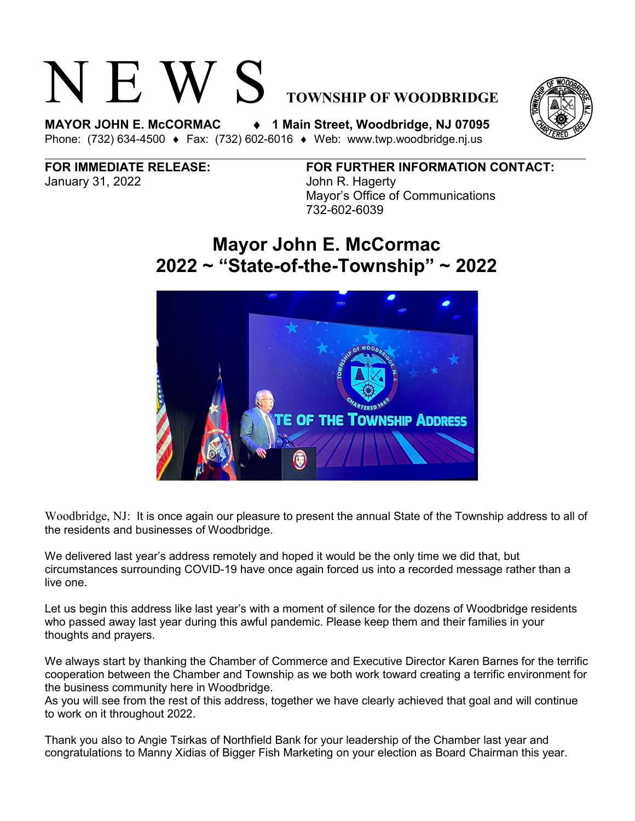# N E W S **TOWNSHIP OF WOODBRIDGE**

**MAYOR JOHN E. McCORMAC** ♦ **1 Main Street, Woodbridge, NJ 07095**  Phone: (732) 634-4500 ♦ Fax: (732) 602-6016 ♦ Web: www.twp.woodbridge.nj.us

January 31, 2022 John R. Hagerty

**FOR IMMEDIATE RELEASE: FOR FURTHER INFORMATION CONTACT:** Mayor's Office of Communications 732-602-6039

## **Mayor John E. McCormac 2022 ~ "State-of-the-Township" ~ 2022**



Woodbridge, NJ: It is once again our pleasure to present the annual State of the Township address to all of the residents and businesses of Woodbridge.

We delivered last year's address remotely and hoped it would be the only time we did that, but circumstances surrounding COVID-19 have once again forced us into a recorded message rather than a live one.

Let us begin this address like last year's with a moment of silence for the dozens of Woodbridge residents who passed away last year during this awful pandemic. Please keep them and their families in your thoughts and prayers.

We always start by thanking the Chamber of Commerce and Executive Director Karen Barnes for the terrific cooperation between the Chamber and Township as we both work toward creating a terrific environment for the business community here in Woodbridge.

As you will see from the rest of this address, together we have clearly achieved that goal and will continue to work on it throughout 2022.

Thank you also to Angie Tsirkas of Northfield Bank for your leadership of the Chamber last year and congratulations to Manny Xidias of Bigger Fish Marketing on your election as Board Chairman this year.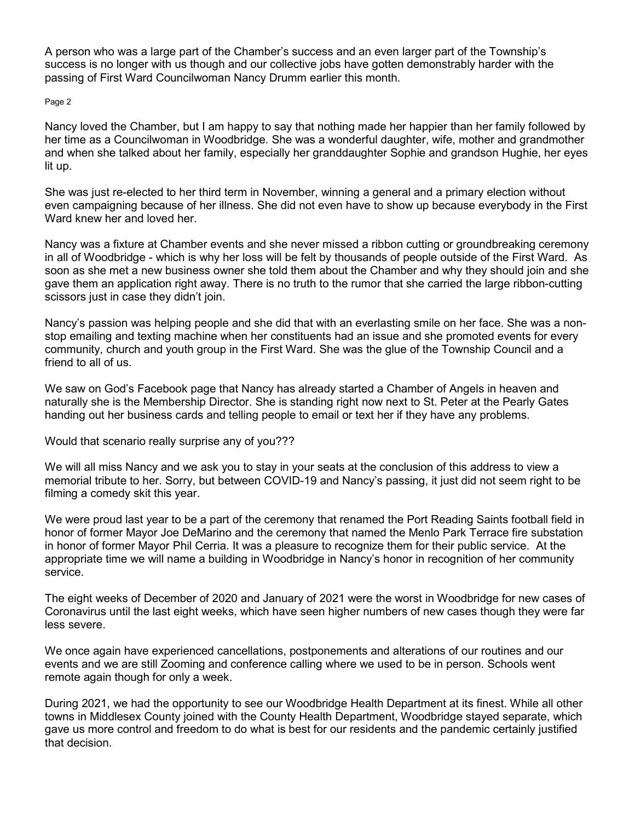A person who was a large part of the Chamber's success and an even larger part of the Township's success is no longer with us though and our collective jobs have gotten demonstrably harder with the passing of First Ward Councilwoman Nancy Drumm earlier this month.

### Page 2

Nancy loved the Chamber, but I am happy to say that nothing made her happier than her family followed by her time as a Councilwoman in Woodbridge. She was a wonderful daughter, wife, mother and grandmother and when she talked about her family, especially her granddaughter Sophie and grandson Hughie, her eyes lit up.

She was just re-elected to her third term in November, winning a general and a primary election without even campaigning because of her illness. She did not even have to show up because everybody in the First Ward knew her and loved her.

Nancy was a fixture at Chamber events and she never missed a ribbon cutting or groundbreaking ceremony in all of Woodbridge - which is why her loss will be felt by thousands of people outside of the First Ward. As soon as she met a new business owner she told them about the Chamber and why they should join and she gave them an application right away. There is no truth to the rumor that she carried the large ribbon-cutting scissors just in case they didn't join.

Nancy's passion was helping people and she did that with an everlasting smile on her face. She was a nonstop emailing and texting machine when her constituents had an issue and she promoted events for every community, church and youth group in the First Ward. She was the glue of the Township Council and a friend to all of us.

We saw on God's Facebook page that Nancy has already started a Chamber of Angels in heaven and naturally she is the Membership Director. She is standing right now next to St. Peter at the Pearly Gates handing out her business cards and telling people to email or text her if they have any problems.

Would that scenario really surprise any of you???

We will all miss Nancy and we ask you to stay in your seats at the conclusion of this address to view a memorial tribute to her. Sorry, but between COVID-19 and Nancy's passing, it just did not seem right to be filming a comedy skit this year.

We were proud last year to be a part of the ceremony that renamed the Port Reading Saints football field in honor of former Mayor Joe DeMarino and the ceremony that named the Menlo Park Terrace fire substation in honor of former Mayor Phil Cerria. It was a pleasure to recognize them for their public service. At the appropriate time we will name a building in Woodbridge in Nancy's honor in recognition of her community service.

The eight weeks of December of 2020 and January of 2021 were the worst in Woodbridge for new cases of Coronavirus until the last eight weeks, which have seen higher numbers of new cases though they were far less severe.

We once again have experienced cancellations, postponements and alterations of our routines and our events and we are still Zooming and conference calling where we used to be in person. Schools went remote again though for only a week.

During 2021, we had the opportunity to see our Woodbridge Health Department at its finest. While all other towns in Middlesex County joined with the County Health Department, Woodbridge stayed separate, which gave us more control and freedom to do what is best for our residents and the pandemic certainly justified that decision.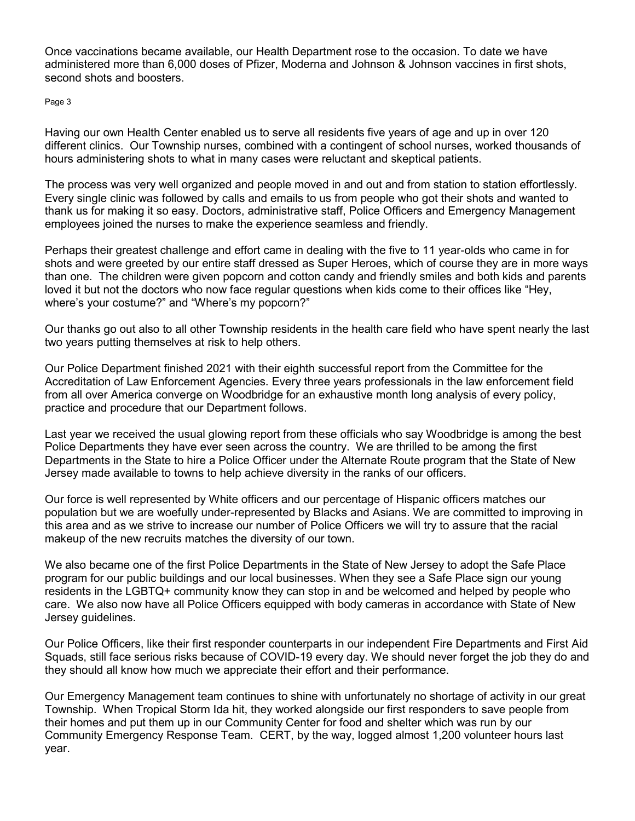Once vaccinations became available, our Health Department rose to the occasion. To date we have administered more than 6,000 doses of Pfizer, Moderna and Johnson & Johnson vaccines in first shots, second shots and boosters.

Page 3

Having our own Health Center enabled us to serve all residents five years of age and up in over 120 different clinics. Our Township nurses, combined with a contingent of school nurses, worked thousands of hours administering shots to what in many cases were reluctant and skeptical patients.

The process was very well organized and people moved in and out and from station to station effortlessly. Every single clinic was followed by calls and emails to us from people who got their shots and wanted to thank us for making it so easy. Doctors, administrative staff, Police Officers and Emergency Management employees joined the nurses to make the experience seamless and friendly.

Perhaps their greatest challenge and effort came in dealing with the five to 11 year-olds who came in for shots and were greeted by our entire staff dressed as Super Heroes, which of course they are in more ways than one. The children were given popcorn and cotton candy and friendly smiles and both kids and parents loved it but not the doctors who now face regular questions when kids come to their offices like "Hey, where's your costume?" and "Where's my popcorn?"

Our thanks go out also to all other Township residents in the health care field who have spent nearly the last two years putting themselves at risk to help others.

Our Police Department finished 2021 with their eighth successful report from the Committee for the Accreditation of Law Enforcement Agencies. Every three years professionals in the law enforcement field from all over America converge on Woodbridge for an exhaustive month long analysis of every policy, practice and procedure that our Department follows.

Last year we received the usual glowing report from these officials who say Woodbridge is among the best Police Departments they have ever seen across the country. We are thrilled to be among the first Departments in the State to hire a Police Officer under the Alternate Route program that the State of New Jersey made available to towns to help achieve diversity in the ranks of our officers.

Our force is well represented by White officers and our percentage of Hispanic officers matches our population but we are woefully under-represented by Blacks and Asians. We are committed to improving in this area and as we strive to increase our number of Police Officers we will try to assure that the racial makeup of the new recruits matches the diversity of our town.

We also became one of the first Police Departments in the State of New Jersey to adopt the Safe Place program for our public buildings and our local businesses. When they see a Safe Place sign our young residents in the LGBTQ+ community know they can stop in and be welcomed and helped by people who care. We also now have all Police Officers equipped with body cameras in accordance with State of New Jersey guidelines.

Our Police Officers, like their first responder counterparts in our independent Fire Departments and First Aid Squads, still face serious risks because of COVID-19 every day. We should never forget the job they do and they should all know how much we appreciate their effort and their performance.

Our Emergency Management team continues to shine with unfortunately no shortage of activity in our great Township. When Tropical Storm Ida hit, they worked alongside our first responders to save people from their homes and put them up in our Community Center for food and shelter which was run by our Community Emergency Response Team. CERT, by the way, logged almost 1,200 volunteer hours last year.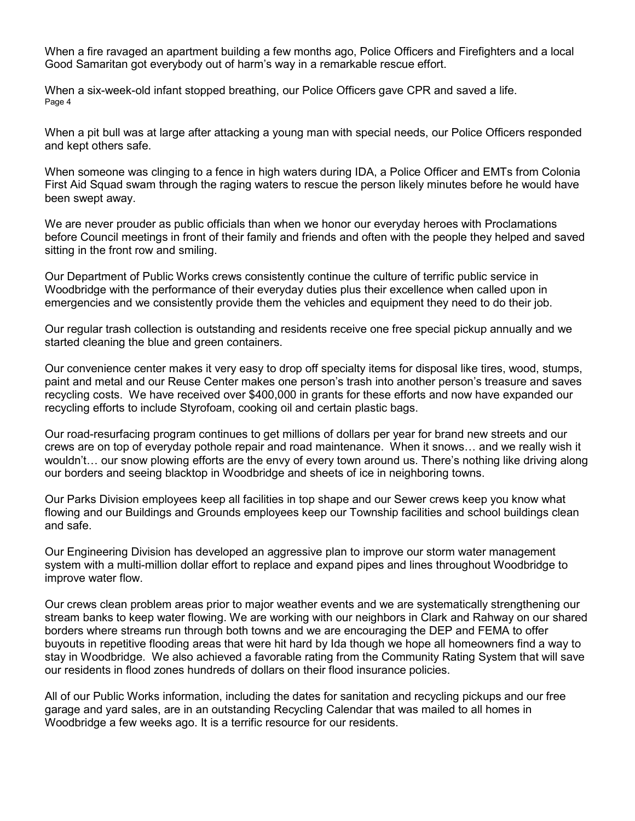When a fire ravaged an apartment building a few months ago, Police Officers and Firefighters and a local Good Samaritan got everybody out of harm's way in a remarkable rescue effort.

When a six-week-old infant stopped breathing, our Police Officers gave CPR and saved a life. Page 4

When a pit bull was at large after attacking a young man with special needs, our Police Officers responded and kept others safe.

When someone was clinging to a fence in high waters during IDA, a Police Officer and EMTs from Colonia First Aid Squad swam through the raging waters to rescue the person likely minutes before he would have been swept away.

We are never prouder as public officials than when we honor our everyday heroes with Proclamations before Council meetings in front of their family and friends and often with the people they helped and saved sitting in the front row and smiling.

Our Department of Public Works crews consistently continue the culture of terrific public service in Woodbridge with the performance of their everyday duties plus their excellence when called upon in emergencies and we consistently provide them the vehicles and equipment they need to do their job.

Our regular trash collection is outstanding and residents receive one free special pickup annually and we started cleaning the blue and green containers.

Our convenience center makes it very easy to drop off specialty items for disposal like tires, wood, stumps, paint and metal and our Reuse Center makes one person's trash into another person's treasure and saves recycling costs. We have received over \$400,000 in grants for these efforts and now have expanded our recycling efforts to include Styrofoam, cooking oil and certain plastic bags.

Our road-resurfacing program continues to get millions of dollars per year for brand new streets and our crews are on top of everyday pothole repair and road maintenance. When it snows… and we really wish it wouldn't… our snow plowing efforts are the envy of every town around us. There's nothing like driving along our borders and seeing blacktop in Woodbridge and sheets of ice in neighboring towns.

Our Parks Division employees keep all facilities in top shape and our Sewer crews keep you know what flowing and our Buildings and Grounds employees keep our Township facilities and school buildings clean and safe.

Our Engineering Division has developed an aggressive plan to improve our storm water management system with a multi-million dollar effort to replace and expand pipes and lines throughout Woodbridge to improve water flow.

Our crews clean problem areas prior to major weather events and we are systematically strengthening our stream banks to keep water flowing. We are working with our neighbors in Clark and Rahway on our shared borders where streams run through both towns and we are encouraging the DEP and FEMA to offer buyouts in repetitive flooding areas that were hit hard by Ida though we hope all homeowners find a way to stay in Woodbridge. We also achieved a favorable rating from the Community Rating System that will save our residents in flood zones hundreds of dollars on their flood insurance policies.

All of our Public Works information, including the dates for sanitation and recycling pickups and our free garage and yard sales, are in an outstanding Recycling Calendar that was mailed to all homes in Woodbridge a few weeks ago. It is a terrific resource for our residents.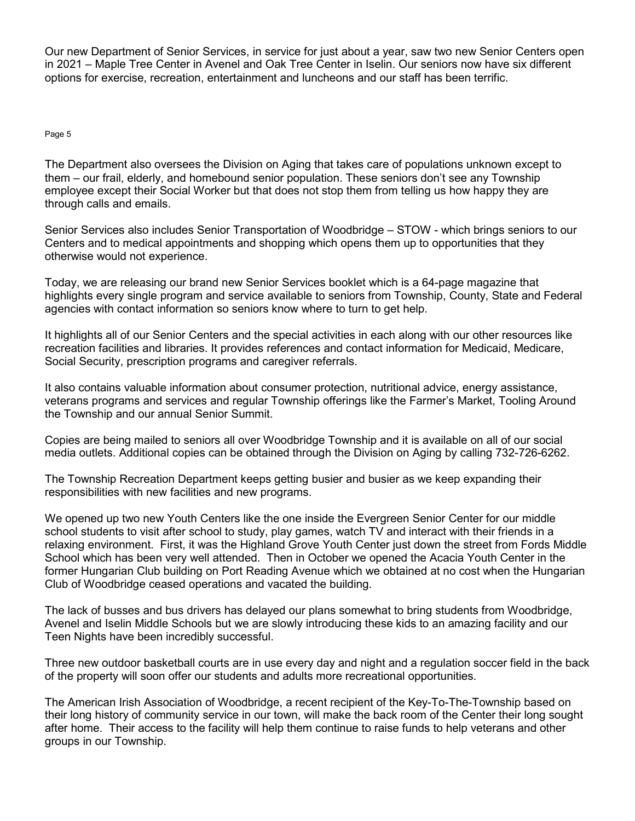Our new Department of Senior Services, in service for just about a year, saw two new Senior Centers open in 2021 – Maple Tree Center in Avenel and Oak Tree Center in Iselin. Our seniors now have six different options for exercise, recreation, entertainment and luncheons and our staff has been terrific.

### Page 5

The Department also oversees the Division on Aging that takes care of populations unknown except to them – our frail, elderly, and homebound senior population. These seniors don't see any Township employee except their Social Worker but that does not stop them from telling us how happy they are through calls and emails.

Senior Services also includes Senior Transportation of Woodbridge – STOW - which brings seniors to our Centers and to medical appointments and shopping which opens them up to opportunities that they otherwise would not experience.

Today, we are releasing our brand new Senior Services booklet which is a 64-page magazine that highlights every single program and service available to seniors from Township, County, State and Federal agencies with contact information so seniors know where to turn to get help.

It highlights all of our Senior Centers and the special activities in each along with our other resources like recreation facilities and libraries. It provides references and contact information for Medicaid, Medicare, Social Security, prescription programs and caregiver referrals.

It also contains valuable information about consumer protection, nutritional advice, energy assistance, veterans programs and services and regular Township offerings like the Farmer's Market, Tooling Around the Township and our annual Senior Summit.

Copies are being mailed to seniors all over Woodbridge Township and it is available on all of our social media outlets. Additional copies can be obtained through the Division on Aging by calling 732-726-6262.

The Township Recreation Department keeps getting busier and busier as we keep expanding their responsibilities with new facilities and new programs.

We opened up two new Youth Centers like the one inside the Evergreen Senior Center for our middle school students to visit after school to study, play games, watch TV and interact with their friends in a relaxing environment. First, it was the Highland Grove Youth Center just down the street from Fords Middle School which has been very well attended. Then in October we opened the Acacia Youth Center in the former Hungarian Club building on Port Reading Avenue which we obtained at no cost when the Hungarian Club of Woodbridge ceased operations and vacated the building.

The lack of busses and bus drivers has delayed our plans somewhat to bring students from Woodbridge, Avenel and Iselin Middle Schools but we are slowly introducing these kids to an amazing facility and our Teen Nights have been incredibly successful.

Three new outdoor basketball courts are in use every day and night and a regulation soccer field in the back of the property will soon offer our students and adults more recreational opportunities.

The American Irish Association of Woodbridge, a recent recipient of the Key-To-The-Township based on their long history of community service in our town, will make the back room of the Center their long sought after home. Their access to the facility will help them continue to raise funds to help veterans and other groups in our Township.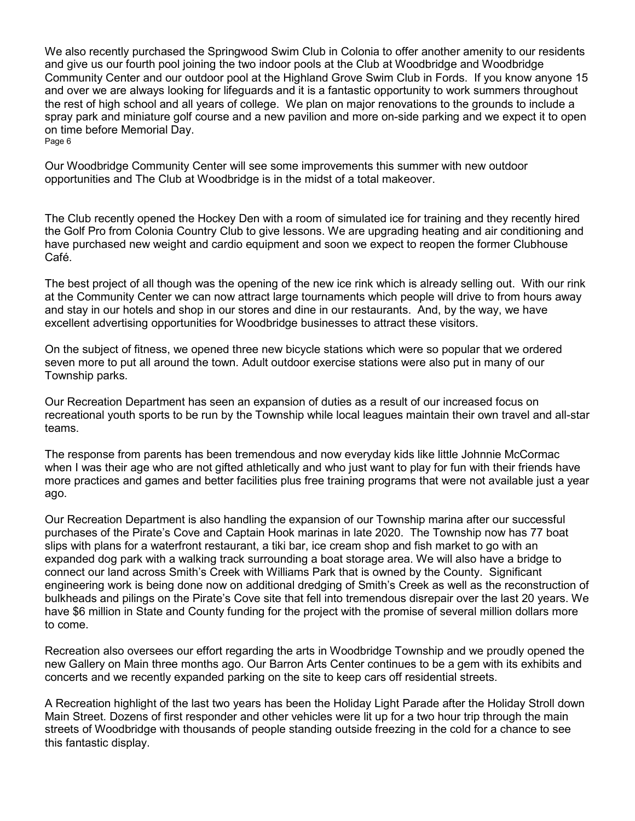We also recently purchased the Springwood Swim Club in Colonia to offer another amenity to our residents and give us our fourth pool joining the two indoor pools at the Club at Woodbridge and Woodbridge Community Center and our outdoor pool at the Highland Grove Swim Club in Fords. If you know anyone 15 and over we are always looking for lifeguards and it is a fantastic opportunity to work summers throughout the rest of high school and all years of college. We plan on major renovations to the grounds to include a spray park and miniature golf course and a new pavilion and more on-side parking and we expect it to open on time before Memorial Day. Page 6

Our Woodbridge Community Center will see some improvements this summer with new outdoor opportunities and The Club at Woodbridge is in the midst of a total makeover.

The Club recently opened the Hockey Den with a room of simulated ice for training and they recently hired the Golf Pro from Colonia Country Club to give lessons. We are upgrading heating and air conditioning and have purchased new weight and cardio equipment and soon we expect to reopen the former Clubhouse Café.

The best project of all though was the opening of the new ice rink which is already selling out. With our rink at the Community Center we can now attract large tournaments which people will drive to from hours away and stay in our hotels and shop in our stores and dine in our restaurants. And, by the way, we have excellent advertising opportunities for Woodbridge businesses to attract these visitors.

On the subject of fitness, we opened three new bicycle stations which were so popular that we ordered seven more to put all around the town. Adult outdoor exercise stations were also put in many of our Township parks.

Our Recreation Department has seen an expansion of duties as a result of our increased focus on recreational youth sports to be run by the Township while local leagues maintain their own travel and all-star teams.

The response from parents has been tremendous and now everyday kids like little Johnnie McCormac when I was their age who are not gifted athletically and who just want to play for fun with their friends have more practices and games and better facilities plus free training programs that were not available just a year ago.

Our Recreation Department is also handling the expansion of our Township marina after our successful purchases of the Pirate's Cove and Captain Hook marinas in late 2020. The Township now has 77 boat slips with plans for a waterfront restaurant, a tiki bar, ice cream shop and fish market to go with an expanded dog park with a walking track surrounding a boat storage area. We will also have a bridge to connect our land across Smith's Creek with Williams Park that is owned by the County. Significant engineering work is being done now on additional dredging of Smith's Creek as well as the reconstruction of bulkheads and pilings on the Pirate's Cove site that fell into tremendous disrepair over the last 20 years. We have \$6 million in State and County funding for the project with the promise of several million dollars more to come.

Recreation also oversees our effort regarding the arts in Woodbridge Township and we proudly opened the new Gallery on Main three months ago. Our Barron Arts Center continues to be a gem with its exhibits and concerts and we recently expanded parking on the site to keep cars off residential streets.

A Recreation highlight of the last two years has been the Holiday Light Parade after the Holiday Stroll down Main Street. Dozens of first responder and other vehicles were lit up for a two hour trip through the main streets of Woodbridge with thousands of people standing outside freezing in the cold for a chance to see this fantastic display.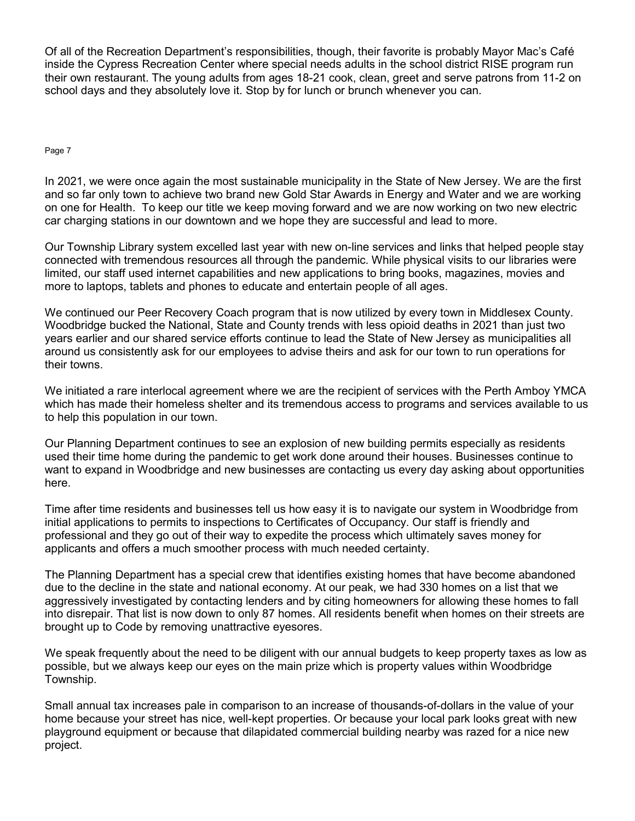Of all of the Recreation Department's responsibilities, though, their favorite is probably Mayor Mac's Café inside the Cypress Recreation Center where special needs adults in the school district RISE program run their own restaurant. The young adults from ages 18-21 cook, clean, greet and serve patrons from 11-2 on school days and they absolutely love it. Stop by for lunch or brunch whenever you can.

Page 7

In 2021, we were once again the most sustainable municipality in the State of New Jersey. We are the first and so far only town to achieve two brand new Gold Star Awards in Energy and Water and we are working on one for Health. To keep our title we keep moving forward and we are now working on two new electric car charging stations in our downtown and we hope they are successful and lead to more.

Our Township Library system excelled last year with new on-line services and links that helped people stay connected with tremendous resources all through the pandemic. While physical visits to our libraries were limited, our staff used internet capabilities and new applications to bring books, magazines, movies and more to laptops, tablets and phones to educate and entertain people of all ages.

We continued our Peer Recovery Coach program that is now utilized by every town in Middlesex County. Woodbridge bucked the National, State and County trends with less opioid deaths in 2021 than just two years earlier and our shared service efforts continue to lead the State of New Jersey as municipalities all around us consistently ask for our employees to advise theirs and ask for our town to run operations for their towns.

We initiated a rare interlocal agreement where we are the recipient of services with the Perth Amboy YMCA which has made their homeless shelter and its tremendous access to programs and services available to us to help this population in our town.

Our Planning Department continues to see an explosion of new building permits especially as residents used their time home during the pandemic to get work done around their houses. Businesses continue to want to expand in Woodbridge and new businesses are contacting us every day asking about opportunities here.

Time after time residents and businesses tell us how easy it is to navigate our system in Woodbridge from initial applications to permits to inspections to Certificates of Occupancy. Our staff is friendly and professional and they go out of their way to expedite the process which ultimately saves money for applicants and offers a much smoother process with much needed certainty.

The Planning Department has a special crew that identifies existing homes that have become abandoned due to the decline in the state and national economy. At our peak, we had 330 homes on a list that we aggressively investigated by contacting lenders and by citing homeowners for allowing these homes to fall into disrepair. That list is now down to only 87 homes. All residents benefit when homes on their streets are brought up to Code by removing unattractive eyesores.

We speak frequently about the need to be diligent with our annual budgets to keep property taxes as low as possible, but we always keep our eyes on the main prize which is property values within Woodbridge Township.

Small annual tax increases pale in comparison to an increase of thousands-of-dollars in the value of your home because your street has nice, well-kept properties. Or because your local park looks great with new playground equipment or because that dilapidated commercial building nearby was razed for a nice new project.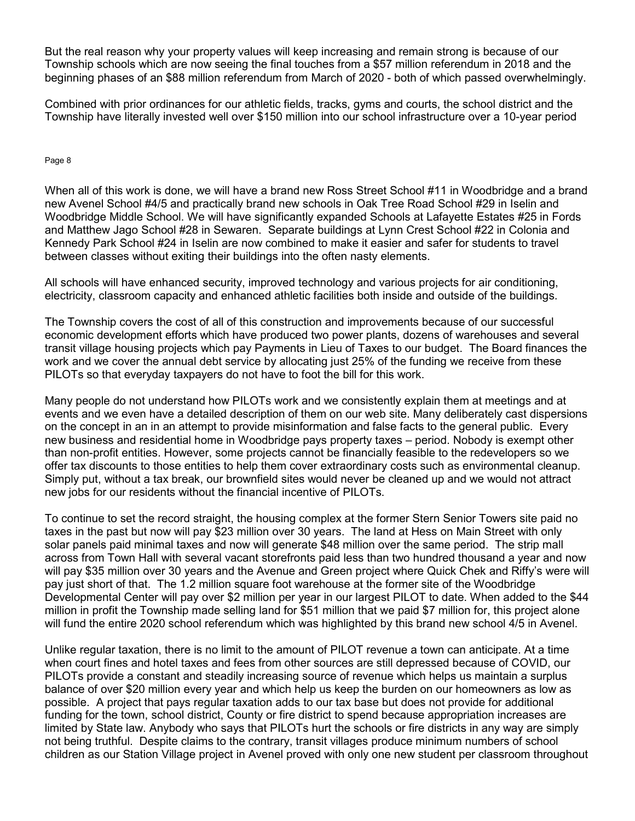But the real reason why your property values will keep increasing and remain strong is because of our Township schools which are now seeing the final touches from a \$57 million referendum in 2018 and the beginning phases of an \$88 million referendum from March of 2020 - both of which passed overwhelmingly.

Combined with prior ordinances for our athletic fields, tracks, gyms and courts, the school district and the Township have literally invested well over \$150 million into our school infrastructure over a 10-year period

Page 8

When all of this work is done, we will have a brand new Ross Street School #11 in Woodbridge and a brand new Avenel School #4/5 and practically brand new schools in Oak Tree Road School #29 in Iselin and Woodbridge Middle School. We will have significantly expanded Schools at Lafayette Estates #25 in Fords and Matthew Jago School #28 in Sewaren. Separate buildings at Lynn Crest School #22 in Colonia and Kennedy Park School #24 in Iselin are now combined to make it easier and safer for students to travel between classes without exiting their buildings into the often nasty elements.

All schools will have enhanced security, improved technology and various projects for air conditioning, electricity, classroom capacity and enhanced athletic facilities both inside and outside of the buildings.

The Township covers the cost of all of this construction and improvements because of our successful economic development efforts which have produced two power plants, dozens of warehouses and several transit village housing projects which pay Payments in Lieu of Taxes to our budget. The Board finances the work and we cover the annual debt service by allocating just 25% of the funding we receive from these PILOTs so that everyday taxpayers do not have to foot the bill for this work.

Many people do not understand how PILOTs work and we consistently explain them at meetings and at events and we even have a detailed description of them on our web site. Many deliberately cast dispersions on the concept in an in an attempt to provide misinformation and false facts to the general public. Every new business and residential home in Woodbridge pays property taxes – period. Nobody is exempt other than non-profit entities. However, some projects cannot be financially feasible to the redevelopers so we offer tax discounts to those entities to help them cover extraordinary costs such as environmental cleanup. Simply put, without a tax break, our brownfield sites would never be cleaned up and we would not attract new jobs for our residents without the financial incentive of PILOTs.

To continue to set the record straight, the housing complex at the former Stern Senior Towers site paid no taxes in the past but now will pay \$23 million over 30 years. The land at Hess on Main Street with only solar panels paid minimal taxes and now will generate \$48 million over the same period. The strip mall across from Town Hall with several vacant storefronts paid less than two hundred thousand a year and now will pay \$35 million over 30 years and the Avenue and Green project where Quick Chek and Riffy's were will pay just short of that. The 1.2 million square foot warehouse at the former site of the Woodbridge Developmental Center will pay over \$2 million per year in our largest PILOT to date. When added to the \$44 million in profit the Township made selling land for \$51 million that we paid \$7 million for, this project alone will fund the entire 2020 school referendum which was highlighted by this brand new school 4/5 in Avenel.

Unlike regular taxation, there is no limit to the amount of PILOT revenue a town can anticipate. At a time when court fines and hotel taxes and fees from other sources are still depressed because of COVID, our PILOTs provide a constant and steadily increasing source of revenue which helps us maintain a surplus balance of over \$20 million every year and which help us keep the burden on our homeowners as low as possible. A project that pays regular taxation adds to our tax base but does not provide for additional funding for the town, school district, County or fire district to spend because appropriation increases are limited by State law. Anybody who says that PILOTs hurt the schools or fire districts in any way are simply not being truthful. Despite claims to the contrary, transit villages produce minimum numbers of school children as our Station Village project in Avenel proved with only one new student per classroom throughout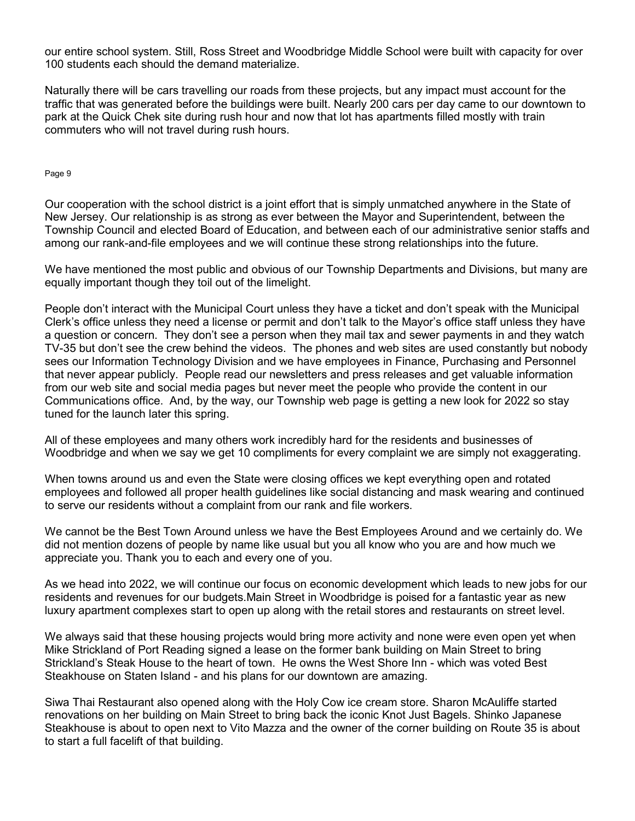our entire school system. Still, Ross Street and Woodbridge Middle School were built with capacity for over 100 students each should the demand materialize.

Naturally there will be cars travelling our roads from these projects, but any impact must account for the traffic that was generated before the buildings were built. Nearly 200 cars per day came to our downtown to park at the Quick Chek site during rush hour and now that lot has apartments filled mostly with train commuters who will not travel during rush hours.

Page 9

Our cooperation with the school district is a joint effort that is simply unmatched anywhere in the State of New Jersey. Our relationship is as strong as ever between the Mayor and Superintendent, between the Township Council and elected Board of Education, and between each of our administrative senior staffs and among our rank-and-file employees and we will continue these strong relationships into the future.

We have mentioned the most public and obvious of our Township Departments and Divisions, but many are equally important though they toil out of the limelight.

People don't interact with the Municipal Court unless they have a ticket and don't speak with the Municipal Clerk's office unless they need a license or permit and don't talk to the Mayor's office staff unless they have a question or concern. They don't see a person when they mail tax and sewer payments in and they watch TV-35 but don't see the crew behind the videos. The phones and web sites are used constantly but nobody sees our Information Technology Division and we have employees in Finance, Purchasing and Personnel that never appear publicly. People read our newsletters and press releases and get valuable information from our web site and social media pages but never meet the people who provide the content in our Communications office. And, by the way, our Township web page is getting a new look for 2022 so stay tuned for the launch later this spring.

All of these employees and many others work incredibly hard for the residents and businesses of Woodbridge and when we say we get 10 compliments for every complaint we are simply not exaggerating.

When towns around us and even the State were closing offices we kept everything open and rotated employees and followed all proper health guidelines like social distancing and mask wearing and continued to serve our residents without a complaint from our rank and file workers.

We cannot be the Best Town Around unless we have the Best Employees Around and we certainly do. We did not mention dozens of people by name like usual but you all know who you are and how much we appreciate you. Thank you to each and every one of you.

As we head into 2022, we will continue our focus on economic development which leads to new jobs for our residents and revenues for our budgets.Main Street in Woodbridge is poised for a fantastic year as new luxury apartment complexes start to open up along with the retail stores and restaurants on street level.

We always said that these housing projects would bring more activity and none were even open yet when Mike Strickland of Port Reading signed a lease on the former bank building on Main Street to bring Strickland's Steak House to the heart of town. He owns the West Shore Inn - which was voted Best Steakhouse on Staten Island - and his plans for our downtown are amazing.

Siwa Thai Restaurant also opened along with the Holy Cow ice cream store. Sharon McAuliffe started renovations on her building on Main Street to bring back the iconic Knot Just Bagels. Shinko Japanese Steakhouse is about to open next to Vito Mazza and the owner of the corner building on Route 35 is about to start a full facelift of that building.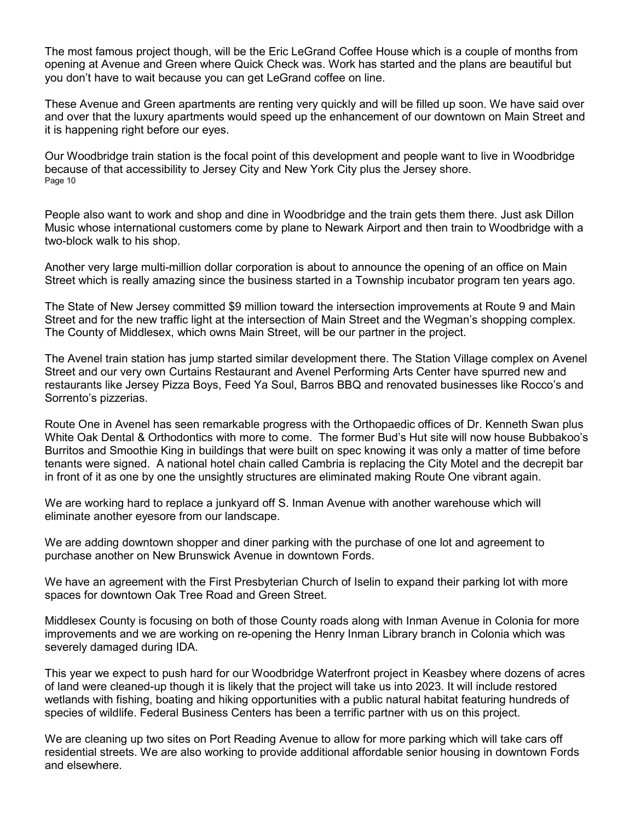The most famous project though, will be the Eric LeGrand Coffee House which is a couple of months from opening at Avenue and Green where Quick Check was. Work has started and the plans are beautiful but you don't have to wait because you can get LeGrand coffee on line.

These Avenue and Green apartments are renting very quickly and will be filled up soon. We have said over and over that the luxury apartments would speed up the enhancement of our downtown on Main Street and it is happening right before our eyes.

Our Woodbridge train station is the focal point of this development and people want to live in Woodbridge because of that accessibility to Jersey City and New York City plus the Jersey shore. Page 10

People also want to work and shop and dine in Woodbridge and the train gets them there. Just ask Dillon Music whose international customers come by plane to Newark Airport and then train to Woodbridge with a two-block walk to his shop.

Another very large multi-million dollar corporation is about to announce the opening of an office on Main Street which is really amazing since the business started in a Township incubator program ten years ago.

The State of New Jersey committed \$9 million toward the intersection improvements at Route 9 and Main Street and for the new traffic light at the intersection of Main Street and the Wegman's shopping complex. The County of Middlesex, which owns Main Street, will be our partner in the project.

The Avenel train station has jump started similar development there. The Station Village complex on Avenel Street and our very own Curtains Restaurant and Avenel Performing Arts Center have spurred new and restaurants like Jersey Pizza Boys, Feed Ya Soul, Barros BBQ and renovated businesses like Rocco's and Sorrento's pizzerias.

Route One in Avenel has seen remarkable progress with the Orthopaedic offices of Dr. Kenneth Swan plus White Oak Dental & Orthodontics with more to come. The former Bud's Hut site will now house Bubbakoo's Burritos and Smoothie King in buildings that were built on spec knowing it was only a matter of time before tenants were signed. A national hotel chain called Cambria is replacing the City Motel and the decrepit bar in front of it as one by one the unsightly structures are eliminated making Route One vibrant again.

We are working hard to replace a junkyard off S. Inman Avenue with another warehouse which will eliminate another eyesore from our landscape.

We are adding downtown shopper and diner parking with the purchase of one lot and agreement to purchase another on New Brunswick Avenue in downtown Fords.

We have an agreement with the First Presbyterian Church of Iselin to expand their parking lot with more spaces for downtown Oak Tree Road and Green Street.

Middlesex County is focusing on both of those County roads along with Inman Avenue in Colonia for more improvements and we are working on re-opening the Henry Inman Library branch in Colonia which was severely damaged during IDA.

This year we expect to push hard for our Woodbridge Waterfront project in Keasbey where dozens of acres of land were cleaned-up though it is likely that the project will take us into 2023. It will include restored wetlands with fishing, boating and hiking opportunities with a public natural habitat featuring hundreds of species of wildlife. Federal Business Centers has been a terrific partner with us on this project.

We are cleaning up two sites on Port Reading Avenue to allow for more parking which will take cars off residential streets. We are also working to provide additional affordable senior housing in downtown Fords and elsewhere.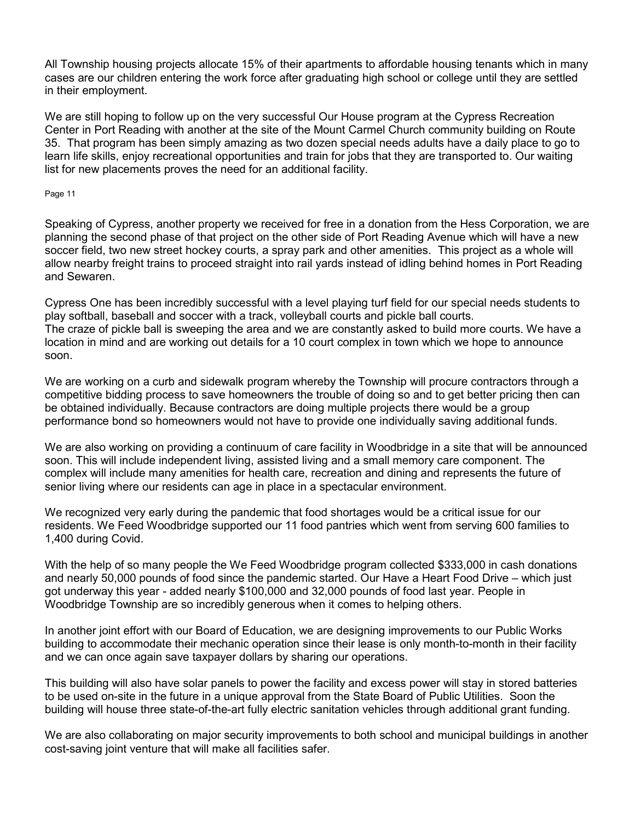All Township housing projects allocate 15% of their apartments to affordable housing tenants which in many cases are our children entering the work force after graduating high school or college until they are settled in their employment.

We are still hoping to follow up on the very successful Our House program at the Cypress Recreation Center in Port Reading with another at the site of the Mount Carmel Church community building on Route 35. That program has been simply amazing as two dozen special needs adults have a daily place to go to learn life skills, enjoy recreational opportunities and train for jobs that they are transported to. Our waiting list for new placements proves the need for an additional facility.

#### Page 11

Speaking of Cypress, another property we received for free in a donation from the Hess Corporation, we are planning the second phase of that project on the other side of Port Reading Avenue which will have a new soccer field, two new street hockey courts, a spray park and other amenities. This project as a whole will allow nearby freight trains to proceed straight into rail yards instead of idling behind homes in Port Reading and Sewaren.

Cypress One has been incredibly successful with a level playing turf field for our special needs students to play softball, baseball and soccer with a track, volleyball courts and pickle ball courts. The craze of pickle ball is sweeping the area and we are constantly asked to build more courts. We have a location in mind and are working out details for a 10 court complex in town which we hope to announce soon.

We are working on a curb and sidewalk program whereby the Township will procure contractors through a competitive bidding process to save homeowners the trouble of doing so and to get better pricing then can be obtained individually. Because contractors are doing multiple projects there would be a group performance bond so homeowners would not have to provide one individually saving additional funds.

We are also working on providing a continuum of care facility in Woodbridge in a site that will be announced soon. This will include independent living, assisted living and a small memory care component. The complex will include many amenities for health care, recreation and dining and represents the future of senior living where our residents can age in place in a spectacular environment.

We recognized very early during the pandemic that food shortages would be a critical issue for our residents. We Feed Woodbridge supported our 11 food pantries which went from serving 600 families to 1,400 during Covid.

With the help of so many people the We Feed Woodbridge program collected \$333,000 in cash donations and nearly 50,000 pounds of food since the pandemic started. Our Have a Heart Food Drive – which just got underway this year - added nearly \$100,000 and 32,000 pounds of food last year. People in Woodbridge Township are so incredibly generous when it comes to helping others.

In another joint effort with our Board of Education, we are designing improvements to our Public Works building to accommodate their mechanic operation since their lease is only month-to-month in their facility and we can once again save taxpayer dollars by sharing our operations.

This building will also have solar panels to power the facility and excess power will stay in stored batteries to be used on-site in the future in a unique approval from the State Board of Public Utilities. Soon the building will house three state-of-the-art fully electric sanitation vehicles through additional grant funding.

We are also collaborating on major security improvements to both school and municipal buildings in another cost-saving joint venture that will make all facilities safer.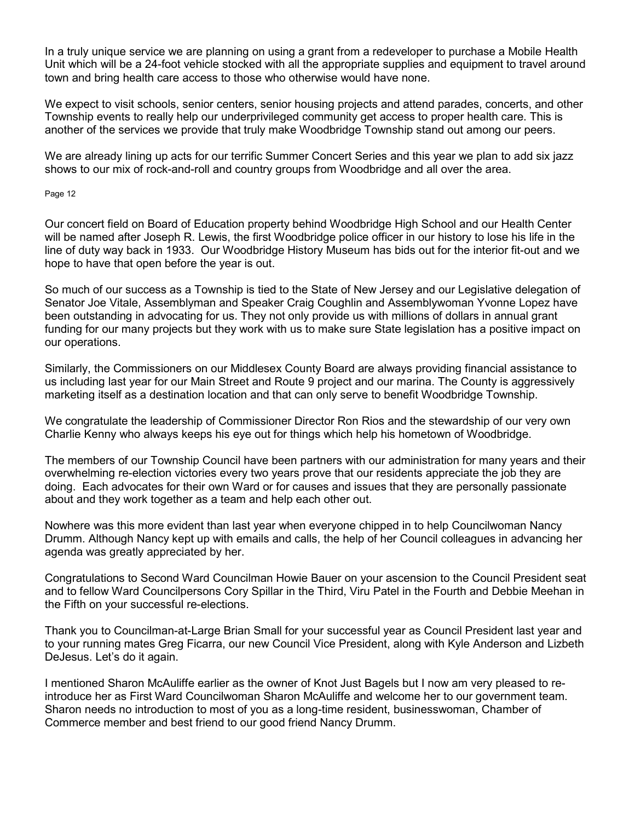In a truly unique service we are planning on using a grant from a redeveloper to purchase a Mobile Health Unit which will be a 24-foot vehicle stocked with all the appropriate supplies and equipment to travel around town and bring health care access to those who otherwise would have none.

We expect to visit schools, senior centers, senior housing projects and attend parades, concerts, and other Township events to really help our underprivileged community get access to proper health care. This is another of the services we provide that truly make Woodbridge Township stand out among our peers.

We are already lining up acts for our terrific Summer Concert Series and this year we plan to add six jazz shows to our mix of rock-and-roll and country groups from Woodbridge and all over the area.

Page 12

Our concert field on Board of Education property behind Woodbridge High School and our Health Center will be named after Joseph R. Lewis, the first Woodbridge police officer in our history to lose his life in the line of duty way back in 1933. Our Woodbridge History Museum has bids out for the interior fit-out and we hope to have that open before the year is out.

So much of our success as a Township is tied to the State of New Jersey and our Legislative delegation of Senator Joe Vitale, Assemblyman and Speaker Craig Coughlin and Assemblywoman Yvonne Lopez have been outstanding in advocating for us. They not only provide us with millions of dollars in annual grant funding for our many projects but they work with us to make sure State legislation has a positive impact on our operations.

Similarly, the Commissioners on our Middlesex County Board are always providing financial assistance to us including last year for our Main Street and Route 9 project and our marina. The County is aggressively marketing itself as a destination location and that can only serve to benefit Woodbridge Township.

We congratulate the leadership of Commissioner Director Ron Rios and the stewardship of our very own Charlie Kenny who always keeps his eye out for things which help his hometown of Woodbridge.

The members of our Township Council have been partners with our administration for many years and their overwhelming re-election victories every two years prove that our residents appreciate the job they are doing. Each advocates for their own Ward or for causes and issues that they are personally passionate about and they work together as a team and help each other out.

Nowhere was this more evident than last year when everyone chipped in to help Councilwoman Nancy Drumm. Although Nancy kept up with emails and calls, the help of her Council colleagues in advancing her agenda was greatly appreciated by her.

Congratulations to Second Ward Councilman Howie Bauer on your ascension to the Council President seat and to fellow Ward Councilpersons Cory Spillar in the Third, Viru Patel in the Fourth and Debbie Meehan in the Fifth on your successful re-elections.

Thank you to Councilman-at-Large Brian Small for your successful year as Council President last year and to your running mates Greg Ficarra, our new Council Vice President, along with Kyle Anderson and Lizbeth DeJesus. Let's do it again.

I mentioned Sharon McAuliffe earlier as the owner of Knot Just Bagels but I now am very pleased to reintroduce her as First Ward Councilwoman Sharon McAuliffe and welcome her to our government team. Sharon needs no introduction to most of you as a long-time resident, businesswoman, Chamber of Commerce member and best friend to our good friend Nancy Drumm.